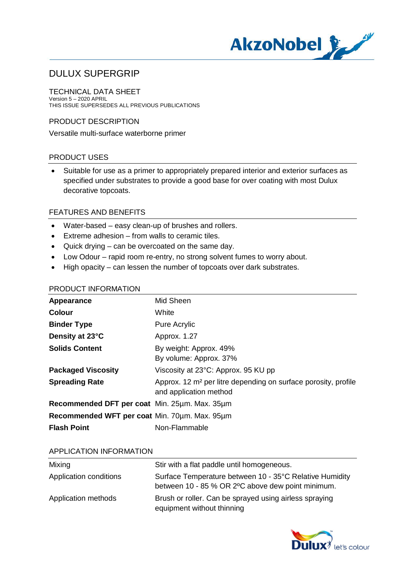

TECHNICAL DATA SHEET Version 5 – 2020 APRIL THIS ISSUE SUPERSEDES ALL PREVIOUS PUBLICATIONS

## PRODUCT DESCRIPTION

Versatile multi-surface waterborne primer

## PRODUCT USES

· Suitable for use as a primer to appropriately prepared interior and exterior surfaces as specified under substrates to provide a good base for over coating with most Dulux decorative topcoats.

## FEATURES AND BENEFITS

- · Water-based easy clean-up of brushes and rollers.
- · Extreme adhesion from walls to ceramic tiles.
- · Quick drying can be overcoated on the same day.
- · Low Odour rapid room re-entry, no strong solvent fumes to worry about.
- · High opacity can lessen the number of topcoats over dark substrates.

| Mid Sheen                                                                                            |
|------------------------------------------------------------------------------------------------------|
| White                                                                                                |
| <b>Pure Acrylic</b>                                                                                  |
| Approx. 1.27                                                                                         |
| By weight: Approx. 49%<br>By volume: Approx. 37%                                                     |
| Viscosity at 23°C: Approx. 95 KU pp                                                                  |
| Approx. 12 m <sup>2</sup> per litre depending on surface porosity, profile<br>and application method |
| Recommended DFT per coat Min. 25um. Max. 35um                                                        |
| Recommended WFT per coat Min. 70um. Max. 95um                                                        |
| Non-Flammable                                                                                        |
|                                                                                                      |

#### APPLICATION INFORMATION

| Mixing                 | Stir with a flat paddle until homogeneous.                                                                   |
|------------------------|--------------------------------------------------------------------------------------------------------------|
| Application conditions | Surface Temperature between 10 - 35°C Relative Humidity<br>between 10 - 85 % OR 2°C above dew point minimum. |
| Application methods    | Brush or roller. Can be sprayed using airless spraying<br>equipment without thinning                         |

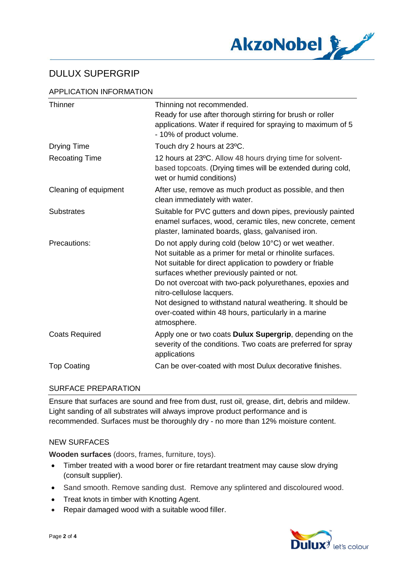

# APPLICATION INFORMATION

| <b>Thinner</b>        | Thinning not recommended.<br>Ready for use after thorough stirring for brush or roller<br>applications. Water if required for spraying to maximum of 5<br>- 10% of product volume.                                                                                                                                                                                                                                                                            |
|-----------------------|---------------------------------------------------------------------------------------------------------------------------------------------------------------------------------------------------------------------------------------------------------------------------------------------------------------------------------------------------------------------------------------------------------------------------------------------------------------|
| <b>Drying Time</b>    | Touch dry 2 hours at 23°C.                                                                                                                                                                                                                                                                                                                                                                                                                                    |
| <b>Recoating Time</b> | 12 hours at 23°C. Allow 48 hours drying time for solvent-<br>based topcoats. (Drying times will be extended during cold,<br>wet or humid conditions)                                                                                                                                                                                                                                                                                                          |
| Cleaning of equipment | After use, remove as much product as possible, and then<br>clean immediately with water.                                                                                                                                                                                                                                                                                                                                                                      |
| <b>Substrates</b>     | Suitable for PVC gutters and down pipes, previously painted<br>enamel surfaces, wood, ceramic tiles, new concrete, cement<br>plaster, laminated boards, glass, galvanised iron.                                                                                                                                                                                                                                                                               |
| Precautions:          | Do not apply during cold (below 10°C) or wet weather.<br>Not suitable as a primer for metal or rhinolite surfaces.<br>Not suitable for direct application to powdery or friable<br>surfaces whether previously painted or not.<br>Do not overcoat with two-pack polyurethanes, epoxies and<br>nitro-cellulose lacquers.<br>Not designed to withstand natural weathering. It should be<br>over-coated within 48 hours, particularly in a marine<br>atmosphere. |
| <b>Coats Required</b> | Apply one or two coats Dulux Supergrip, depending on the<br>severity of the conditions. Two coats are preferred for spray<br>applications                                                                                                                                                                                                                                                                                                                     |
| <b>Top Coating</b>    | Can be over-coated with most Dulux decorative finishes.                                                                                                                                                                                                                                                                                                                                                                                                       |

# SURFACE PREPARATION

Ensure that surfaces are sound and free from dust, rust oil, grease, dirt, debris and mildew. Light sanding of all substrates will always improve product performance and is recommended. Surfaces must be thoroughly dry - no more than 12% moisture content.

# NEW SURFACES

**Wooden surfaces** (doors, frames, furniture, toys).

- · Timber treated with a wood borer or fire retardant treatment may cause slow drying (consult supplier).
- Sand smooth. Remove sanding dust. Remove any splintered and discoloured wood.
- · Treat knots in timber with Knotting Agent.
- · Repair damaged wood with a suitable wood filler.

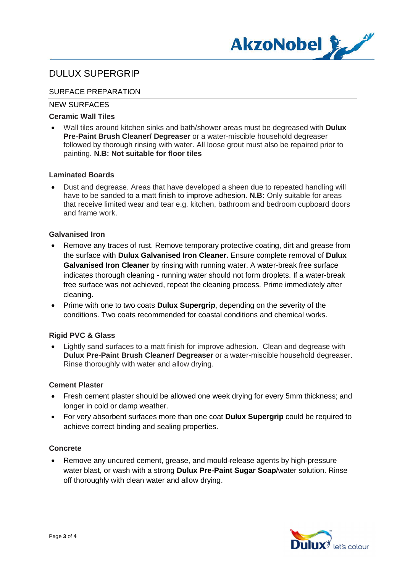

## SURFACE PREPARATION

## NEW SURFACES

## **Ceramic Wall Tiles**

· Wall tiles around kitchen sinks and bath/shower areas must be degreased with **Dulux Pre-Paint Brush Cleaner/ Degreaser** or a water-miscible household degreaser followed by thorough rinsing with water. All loose grout must also be repaired prior to painting. **N.B: Not suitable for floor tiles**

### **Laminated Boards**

· Dust and degrease. Areas that have developed a sheen due to repeated handling will have to be sanded to a matt finish to improve adhesion. **N.B:** Only suitable for areas that receive limited wear and tear e.g. kitchen, bathroom and bedroom cupboard doors and frame work.

#### **Galvanised Iron**

- Remove any traces of rust. Remove temporary protective coating, dirt and grease from the surface with **Dulux Galvanised Iron Cleaner.** Ensure complete removal of **Dulux Galvanised Iron Cleaner** by rinsing with running water. A water-break free surface indicates thorough cleaning - running water should not form droplets. If a water-break free surface was not achieved, repeat the cleaning process. Prime immediately after cleaning.
- · Prime with one to two coats **Dulux Supergrip**, depending on the severity of the conditions. Two coats recommended for coastal conditions and chemical works.

## **Rigid PVC & Glass**

· Lightly sand surfaces to a matt finish for improve adhesion. Clean and degrease with **Dulux Pre-Paint Brush Cleaner/ Degreaser** or a water-miscible household degreaser. Rinse thoroughly with water and allow drying.

#### **Cement Plaster**

- · Fresh cement plaster should be allowed one week drying for every 5mm thickness; and longer in cold or damp weather.
- · For very absorbent surfaces more than one coat **Dulux Supergrip** could be required to achieve correct binding and sealing properties.

## **Concrete**

· Remove any uncured cement, grease, and mould-release agents by high-pressure water blast, or wash with a strong **Dulux Pre-Paint Sugar Soap**/water solution. Rinse off thoroughly with clean water and allow drying.